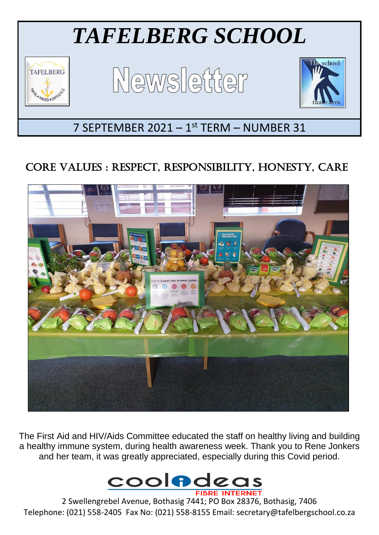

# CORE VALUES : RESPECT, RESPONSIBILITY, HONESTY, CARE



The First Aid and HIV/Aids Committee educated the staff on healthy living and building a healthy immune system, during health awareness week. Thank you to Rene Jonkers and her team, it was greatly appreciated, especially during this Covid period.



2 Swellengrebel Avenue, Bothasig 7441; PO Box 28376, Bothasig, 7406 Telephone: (021) 558-2405 Fax No: (021) 558-8155 Email: secretary@tafelbergschool.co.za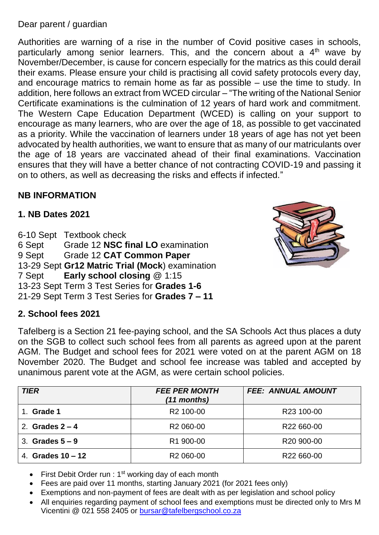#### Dear parent / guardian

Authorities are warning of a rise in the number of Covid positive cases in schools, particularly among senior learners. This, and the concern about a  $4<sup>th</sup>$  wave by November/December, is cause for concern especially for the matrics as this could derail their exams. Please ensure your child is practising all covid safety protocols every day, and encourage matrics to remain home as far as possible – use the time to study. In addition, here follows an extract from WCED circular – "The writing of the National Senior Certificate examinations is the culmination of 12 years of hard work and commitment. The Western Cape Education Department (WCED) is calling on your support to encourage as many learners, who are over the age of 18, as possible to get vaccinated as a priority. While the vaccination of learners under 18 years of age has not yet been advocated by health authorities, we want to ensure that as many of our matriculants over the age of 18 years are vaccinated ahead of their final examinations. Vaccination ensures that they will have a better chance of not contracting COVID-19 and passing it on to others, as well as decreasing the risks and effects if infected."

# **NB INFORMATION**

#### **1. NB Dates 2021**

6-10 Sept Textbook check 6 Sept Grade 12 **NSC final LO** examination 9 Sept Grade 12 **CAT Common Paper** 13-29 Sept **Gr12 Matric Trial (Mock**) examination 7 Sept **Early school closing** @ 1:15 13-23 Sept Term 3 Test Series for **Grades 1-6** 21-29 Sept Term 3 Test Series for **Grades 7 – 11**

#### **2. School fees 2021**

Tafelberg is a Section 21 fee-paying school, and the SA Schools Act thus places a duty on the SGB to collect such school fees from all parents as agreed upon at the parent AGM. The Budget and school fees for 2021 were voted on at the parent AGM on 18 November 2020. The Budget and school fee increase was tabled and accepted by unanimous parent vote at the AGM, as were certain school policies.

| <b>TIER</b>         | <b>FEE PER MONTH</b><br>(11 months) | <b>FEE: ANNUAL AMOUNT</b> |
|---------------------|-------------------------------------|---------------------------|
| Grade 1             | R <sub>2</sub> 100-00               | R <sub>23</sub> 100-00    |
| 2. Grades $2 - 4$   | R <sub>2</sub> 060-00               | R22 660-00                |
| 3. Grades $5-9$     | R1 900-00                           | R <sub>20</sub> 900-00    |
| 4. Grades $10 - 12$ | R <sub>2</sub> 060-00               | R22 660-00                |

- First Debit Order run :  $1<sup>st</sup>$  working day of each month
- Fees are paid over 11 months, starting January 2021 (for 2021 fees only)
- Exemptions and non-payment of fees are dealt with as per legislation and school policy
- All enquiries regarding payment of school fees and exemptions must be directed only to Mrs M Vicentini @ 021 558 2405 or [bursar@tafelbergschool.co.za](mailto:bursar@tafelbergschool.co.za)

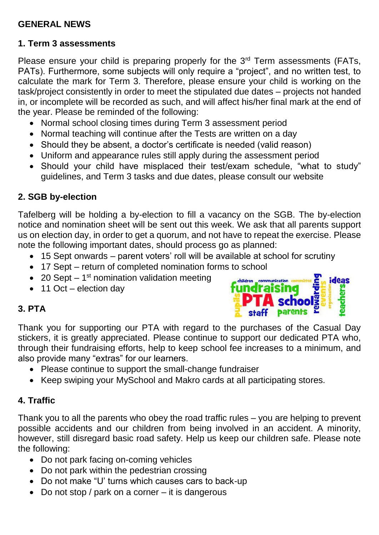# **GENERAL NEWS**

# **1. Term 3 assessments**

Please ensure your child is preparing properly for the 3<sup>rd</sup> Term assessments (FATs, PATs). Furthermore, some subjects will only require a "project", and no written test, to calculate the mark for Term 3. Therefore, please ensure your child is working on the task/project consistently in order to meet the stipulated due dates – projects not handed in, or incomplete will be recorded as such, and will affect his/her final mark at the end of the year. Please be reminded of the following:

- Normal school closing times during Term 3 assessment period
- Normal teaching will continue after the Tests are written on a day
- Should they be absent, a doctor's certificate is needed (valid reason)
- Uniform and appearance rules still apply during the assessment period
- Should your child have misplaced their test/exam schedule, "what to study" guidelines, and Term 3 tasks and due dates, please consult our website

# **2. SGB by-election**

Tafelberg will be holding a by-election to fill a vacancy on the SGB. The by-election notice and nomination sheet will be sent out this week. We ask that all parents support us on election day, in order to get a quorum, and not have to repeat the exercise. Please note the following important dates, should process go as planned:

- 15 Sept onwards parent voters' roll will be available at school for scrutiny
- 17 Sept return of completed nomination forms to school
- 20 Sept  $-1$ <sup>st</sup> nomination validation meeting
- 11 Oct election day

# **3. PTA**



Thank you for supporting our PTA with regard to the purchases of the Casual Day stickers, it is greatly appreciated. Please continue to support our dedicated PTA who, through their fundraising efforts, help to keep school fee increases to a minimum, and also provide many "extras" for our learners.

- Please continue to support the small-change fundraiser
- Keep swiping your MySchool and Makro cards at all participating stores.

# **4. Traffic**

Thank you to all the parents who obey the road traffic rules – you are helping to prevent possible accidents and our children from being involved in an accident. A minority, however, still disregard basic road safety. Help us keep our children safe. Please note the following:

- Do not park facing on-coming vehicles
- Do not park within the pedestrian crossing
- Do not make "U' turns which causes cars to back-up
- Do not stop / park on a corner it is dangerous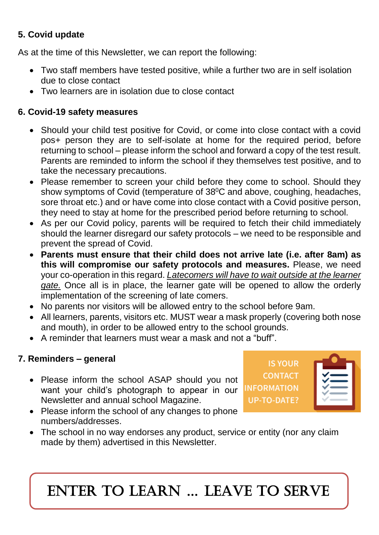# **5. Covid update**

As at the time of this Newsletter, we can report the following:

- Two staff members have tested positive, while a further two are in self isolation due to close contact
- Two learners are in isolation due to close contact

# **6. Covid-19 safety measures**

- Should your child test positive for Covid, or come into close contact with a covid pos+ person they are to self-isolate at home for the required period, before returning to school – please inform the school and forward a copy of the test result. Parents are reminded to inform the school if they themselves test positive, and to take the necessary precautions.
- Please remember to screen your child before they come to school. Should they show symptoms of Covid (temperature of  $38^{\circ}$ C and above, coughing, headaches, sore throat etc.) and or have come into close contact with a Covid positive person, they need to stay at home for the prescribed period before returning to school.
- As per our Covid policy, parents will be required to fetch their child immediately should the learner disregard our safety protocols – we need to be responsible and prevent the spread of Covid.
- **Parents must ensure that their child does not arrive late (i.e. after 8am) as this will compromise our safety protocols and measures.** Please, we need your co-operation in this regard. *Latecomers will have to wait outside at the learner gate.* Once all is in place, the learner gate will be opened to allow the orderly implementation of the screening of late comers.
- No parents nor visitors will be allowed entry to the school before 9am.
- All learners, parents, visitors etc. MUST wear a mask properly (covering both nose and mouth), in order to be allowed entry to the school grounds.
- A reminder that learners must wear a mask and not a "buff".

# **7. Reminders – general**

• Please inform the school ASAP should you not want your child's photograph to appear in our Newsletter and annual school Magazine.

**IS YOUR CONTACT INFORMATION UP-TO-DATE?** 

- Please inform the school of any changes to phone numbers/addresses.
- The school in no way endorses any product, service or entity (nor any claim made by them) advertised in this Newsletter.

ENTER TO LEARN … LEAVE TO SERVE